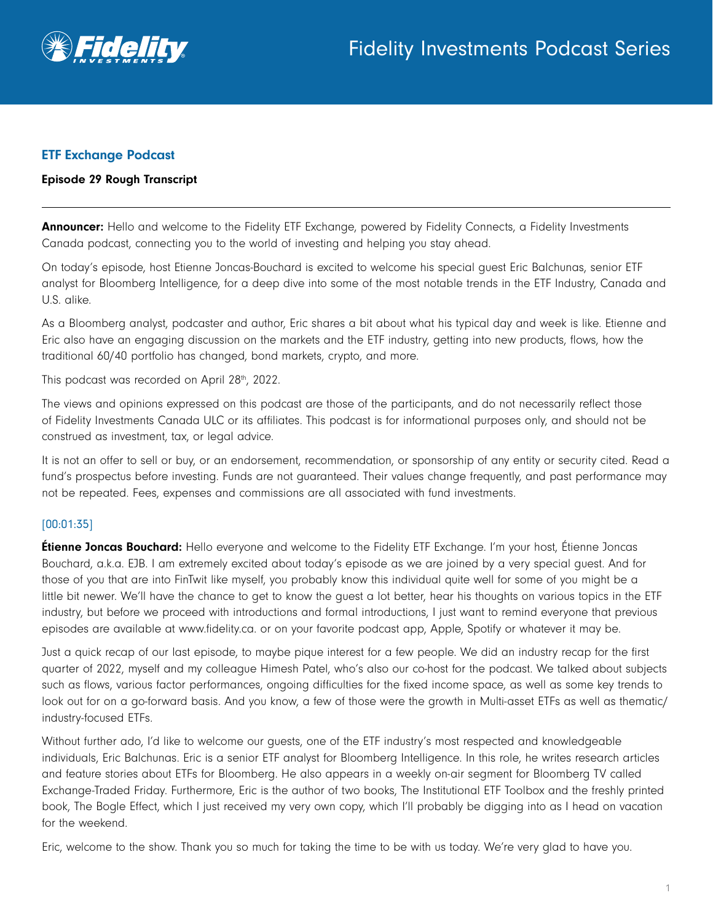

## ETF Exchange Podcast

#### Episode 29 Rough Transcript

Announcer: Hello and welcome to the Fidelity ETF Exchange, powered by Fidelity Connects, a Fidelity Investments Canada podcast, connecting you to the world of investing and helping you stay ahead.

On today's episode, host Etienne Joncas-Bouchard is excited to welcome his special guest Eric Balchunas, senior ETF analyst for Bloomberg Intelligence, for a deep dive into some of the most notable trends in the ETF Industry, Canada and U.S. alike.

As a Bloomberg analyst, podcaster and author, Eric shares a bit about what his typical day and week is like. Etienne and Eric also have an engaging discussion on the markets and the ETF industry, getting into new products, flows, how the traditional 60/40 portfolio has changed, bond markets, crypto, and more.

This podcast was recorded on April 28th, 2022.

The views and opinions expressed on this podcast are those of the participants, and do not necessarily reflect those of Fidelity Investments Canada ULC or its affiliates. This podcast is for informational purposes only, and should not be construed as investment, tax, or legal advice.

It is not an offer to sell or buy, or an endorsement, recommendation, or sponsorship of any entity or security cited. Read a fund's prospectus before investing. Funds are not guaranteed. Their values change frequently, and past performance may not be repeated. Fees, expenses and commissions are all associated with fund investments.

## [00:01:35]

**Étienne Joncas Bouchard:** Hello everyone and welcome to the Fidelity ETF Exchange. I'm your host, Étienne Joncas Bouchard, a.k.a. EJB. I am extremely excited about today's episode as we are joined by a very special guest. And for those of you that are into FinTwit like myself, you probably know this individual quite well for some of you might be a little bit newer. We'll have the chance to get to know the guest a lot better, hear his thoughts on various topics in the ETF industry, but before we proceed with introductions and formal introductions, I just want to remind everyone that previous episodes are available at www.fidelity.ca. or on your favorite podcast app, Apple, Spotify or whatever it may be.

Just a quick recap of our last episode, to maybe pique interest for a few people. We did an industry recap for the first quarter of 2022, myself and my colleague Himesh Patel, who's also our co-host for the podcast. We talked about subjects such as flows, various factor performances, ongoing difficulties for the fixed income space, as well as some key trends to look out for on a go-forward basis. And you know, a few of those were the growth in Multi-asset ETFs as well as thematic/ industry-focused ETFs.

Without further ado, I'd like to welcome our guests, one of the ETF industry's most respected and knowledgeable individuals, Eric Balchunas. Eric is a senior ETF analyst for Bloomberg Intelligence. In this role, he writes research articles and feature stories about ETFs for Bloomberg. He also appears in a weekly on-air segment for Bloomberg TV called Exchange-Traded Friday. Furthermore, Eric is the author of two books, The Institutional ETF Toolbox and the freshly printed book, The Bogle Effect, which I just received my very own copy, which I'll probably be digging into as I head on vacation for the weekend.

Eric, welcome to the show. Thank you so much for taking the time to be with us today. We're very glad to have you.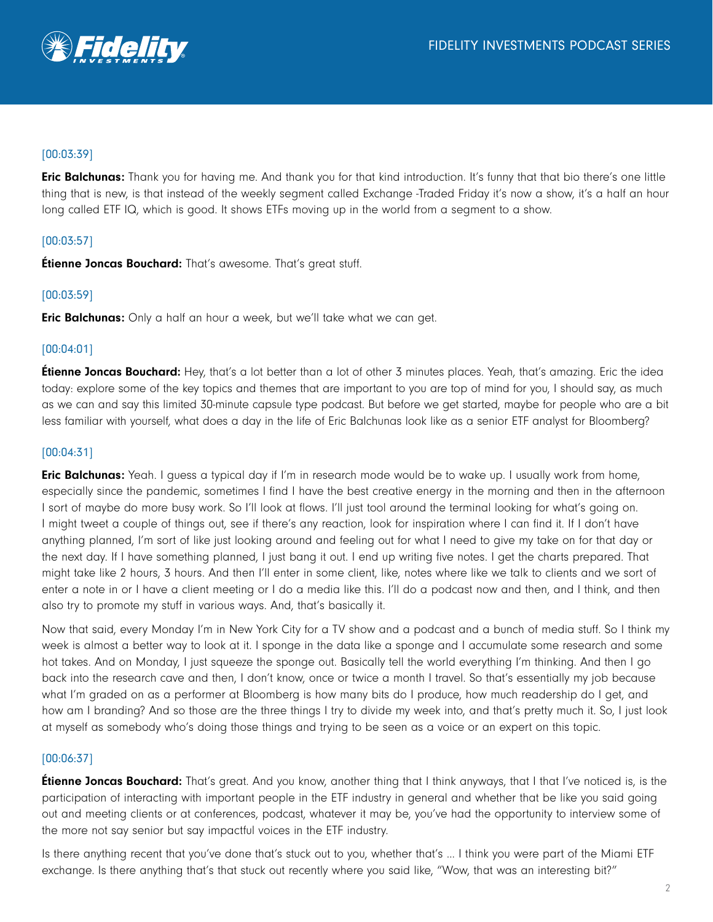

## [00:03:39]

Eric Balchunas: Thank you for having me. And thank you for that kind introduction. It's funny that that bio there's one little thing that is new, is that instead of the weekly segment called Exchange -Traded Friday it's now a show, it's a half an hour long called ETF IQ, which is good. It shows ETFs moving up in the world from a segment to a show.

## [00:03:57]

**Étienne Joncas Bouchard:** That's awesome. That's great stuff.

## [00:03:59]

**Eric Balchunas:** Only a half an hour a week, but we'll take what we can get.

## [00:04:01]

**Étienne Joncas Bouchard:** Hey, that's a lot better than a lot of other 3 minutes places. Yeah, that's amazing. Eric the idea today: explore some of the key topics and themes that are important to you are top of mind for you, I should say, as much as we can and say this limited 30-minute capsule type podcast. But before we get started, maybe for people who are a bit less familiar with yourself, what does a day in the life of Eric Balchunas look like as a senior ETF analyst for Bloomberg?

## [00:04:31]

Eric Balchunas: Yeah. I quess a typical day if I'm in research mode would be to wake up. I usually work from home, especially since the pandemic, sometimes I find I have the best creative energy in the morning and then in the afternoon I sort of maybe do more busy work. So I'll look at flows. I'll just tool around the terminal looking for what's going on. I might tweet a couple of things out, see if there's any reaction, look for inspiration where I can find it. If I don't have anything planned, I'm sort of like just looking around and feeling out for what I need to give my take on for that day or the next day. If I have something planned, I just bang it out. I end up writing five notes. I get the charts prepared. That might take like 2 hours, 3 hours. And then I'll enter in some client, like, notes where like we talk to clients and we sort of enter a note in or I have a client meeting or I do a media like this. I'll do a podcast now and then, and I think, and then also try to promote my stuff in various ways. And, that's basically it.

Now that said, every Monday I'm in New York City for a TV show and a podcast and a bunch of media stuff. So I think my week is almost a better way to look at it. I sponge in the data like a sponge and I accumulate some research and some hot takes. And on Monday, I just squeeze the sponge out. Basically tell the world everything I'm thinking. And then I go back into the research cave and then, I don't know, once or twice a month I travel. So that's essentially my job because what I'm graded on as a performer at Bloomberg is how many bits do I produce, how much readership do I get, and how am I branding? And so those are the three things I try to divide my week into, and that's pretty much it. So, I just look at myself as somebody who's doing those things and trying to be seen as a voice or an expert on this topic.

## [00:06:37]

**Étienne Joncas Bouchard:** That's great. And you know, another thing that I think anyways, that I that I've noticed is, is the participation of interacting with important people in the ETF industry in general and whether that be like you said going out and meeting clients or at conferences, podcast, whatever it may be, you've had the opportunity to interview some of the more not say senior but say impactful voices in the ETF industry.

Is there anything recent that you've done that's stuck out to you, whether that's … I think you were part of the Miami ETF exchange. Is there anything that's that stuck out recently where you said like, "Wow, that was an interesting bit?"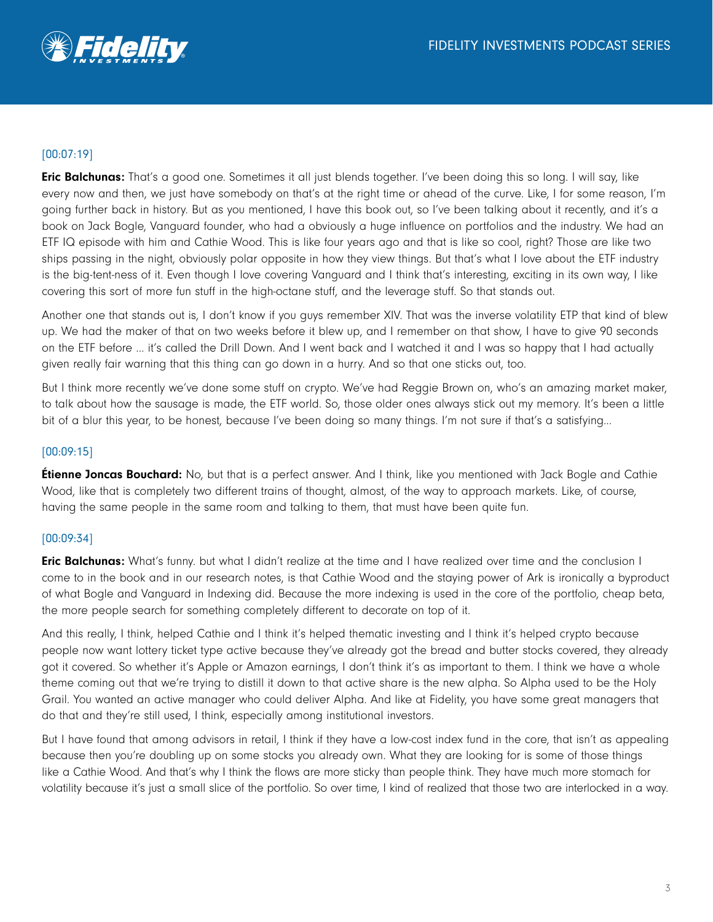

## [00:07:19]

Eric Balchunas: That's a good one. Sometimes it all just blends together. I've been doing this so long. I will say, like every now and then, we just have somebody on that's at the right time or ahead of the curve. Like, I for some reason, I'm going further back in history. But as you mentioned, I have this book out, so I've been talking about it recently, and it's a book on Jack Bogle, Vanguard founder, who had a obviously a huge influence on portfolios and the industry. We had an ETF IQ episode with him and Cathie Wood. This is like four years ago and that is like so cool, right? Those are like two ships passing in the night, obviously polar opposite in how they view things. But that's what I love about the ETF industry is the big-tent-ness of it. Even though I love covering Vanguard and I think that's interesting, exciting in its own way, I like covering this sort of more fun stuff in the high-octane stuff, and the leverage stuff. So that stands out.

Another one that stands out is, I don't know if you guys remember XIV. That was the inverse volatility ETP that kind of blew up. We had the maker of that on two weeks before it blew up, and I remember on that show, I have to give 90 seconds on the ETF before ... it's called the Drill Down. And I went back and I watched it and I was so happy that I had actually given really fair warning that this thing can go down in a hurry. And so that one sticks out, too.

But I think more recently we've done some stuff on crypto. We've had Reggie Brown on, who's an amazing market maker, to talk about how the sausage is made, the ETF world. So, those older ones always stick out my memory. It's been a little bit of a blur this year, to be honest, because I've been doing so many things. I'm not sure if that's a satisfying...

## [00:09:15]

**Étienne Joncas Bouchard:** No, but that is a perfect answer. And I think, like you mentioned with Jack Bogle and Cathie Wood, like that is completely two different trains of thought, almost, of the way to approach markets. Like, of course, having the same people in the same room and talking to them, that must have been quite fun.

## [00:09:34]

**Eric Balchunas:** What's funny. but what I didn't realize at the time and I have realized over time and the conclusion I come to in the book and in our research notes, is that Cathie Wood and the staying power of Ark is ironically a byproduct of what Bogle and Vanguard in Indexing did. Because the more indexing is used in the core of the portfolio, cheap beta, the more people search for something completely different to decorate on top of it.

And this really, I think, helped Cathie and I think it's helped thematic investing and I think it's helped crypto because people now want lottery ticket type active because they've already got the bread and butter stocks covered, they already got it covered. So whether it's Apple or Amazon earnings, I don't think it's as important to them. I think we have a whole theme coming out that we're trying to distill it down to that active share is the new alpha. So Alpha used to be the Holy Grail. You wanted an active manager who could deliver Alpha. And like at Fidelity, you have some great managers that do that and they're still used, I think, especially among institutional investors.

But I have found that among advisors in retail, I think if they have a low-cost index fund in the core, that isn't as appealing because then you're doubling up on some stocks you already own. What they are looking for is some of those things like a Cathie Wood. And that's why I think the flows are more sticky than people think. They have much more stomach for volatility because it's just a small slice of the portfolio. So over time, I kind of realized that those two are interlocked in a way.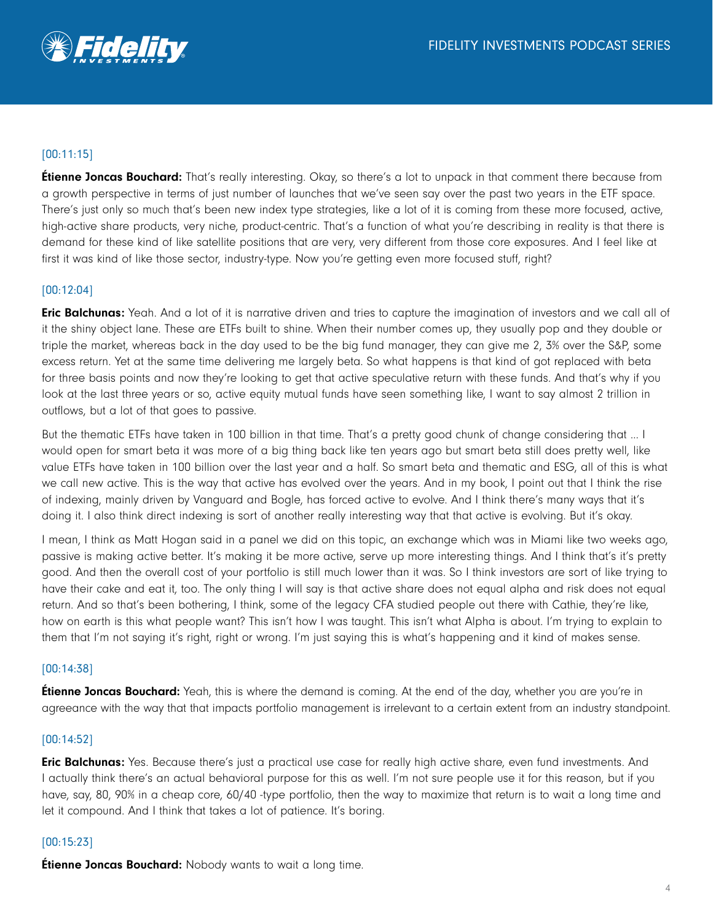# [00:11:15]

**Étienne Joncas Bouchard:** That's really interesting. Okay, so there's a lot to unpack in that comment there because from a growth perspective in terms of just number of launches that we've seen say over the past two years in the ETF space. There's just only so much that's been new index type strategies, like a lot of it is coming from these more focused, active, high-active share products, very niche, product-centric. That's a function of what you're describing in reality is that there is demand for these kind of like satellite positions that are very, very different from those core exposures. And I feel like at first it was kind of like those sector, industry-type. Now you're getting even more focused stuff, right?

## [00:12:04]

**Eric Balchunas:** Yeah. And a lot of it is narrative driven and tries to capture the imagination of investors and we call all of it the shiny object lane. These are ETFs built to shine. When their number comes up, they usually pop and they double or triple the market, whereas back in the day used to be the big fund manager, they can give me 2, 3% over the S&P, some excess return. Yet at the same time delivering me largely beta. So what happens is that kind of got replaced with beta for three basis points and now they're looking to get that active speculative return with these funds. And that's why if you look at the last three years or so, active equity mutual funds have seen something like, I want to say almost 2 trillion in outflows, but a lot of that goes to passive.

But the thematic ETFs have taken in 100 billion in that time. That's a pretty good chunk of change considering that … I would open for smart beta it was more of a big thing back like ten years ago but smart beta still does pretty well, like value ETFs have taken in 100 billion over the last year and a half. So smart beta and thematic and ESG, all of this is what we call new active. This is the way that active has evolved over the years. And in my book, I point out that I think the rise of indexing, mainly driven by Vanguard and Bogle, has forced active to evolve. And I think there's many ways that it's doing it. I also think direct indexing is sort of another really interesting way that that active is evolving. But it's okay.

I mean, I think as Matt Hogan said in a panel we did on this topic, an exchange which was in Miami like two weeks ago, passive is making active better. It's making it be more active, serve up more interesting things. And I think that's it's pretty good. And then the overall cost of your portfolio is still much lower than it was. So I think investors are sort of like trying to have their cake and eat it, too. The only thing I will say is that active share does not equal alpha and risk does not equal return. And so that's been bothering, I think, some of the legacy CFA studied people out there with Cathie, they're like, how on earth is this what people want? This isn't how I was taught. This isn't what Alpha is about. I'm trying to explain to them that I'm not saying it's right, right or wrong. I'm just saying this is what's happening and it kind of makes sense.

## [00:14:38]

**Étienne Joncas Bouchard:** Yeah, this is where the demand is coming. At the end of the day, whether you are you're in agreeance with the way that that impacts portfolio management is irrelevant to a certain extent from an industry standpoint.

## [00:14:52]

**Eric Balchunas:** Yes. Because there's just a practical use case for really high active share, even fund investments. And I actually think there's an actual behavioral purpose for this as well. I'm not sure people use it for this reason, but if you have, say, 80, 90% in a cheap core, 60/40 -type portfolio, then the way to maximize that return is to wait a long time and let it compound. And I think that takes a lot of patience. It's boring.

## [00:15:23]

**Étienne Joncas Bouchard:** Nobody wants to wait a long time.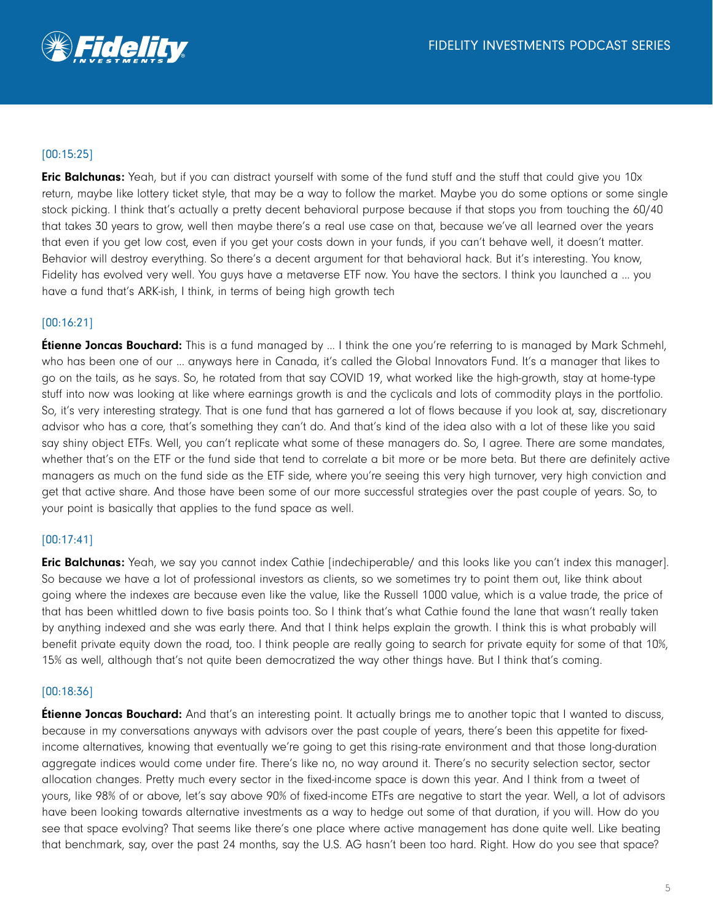# [00:15:25]

**Eric Balchunas:** Yeah, but if you can distract yourself with some of the fund stuff and the stuff that could give you 10x return, maybe like lottery ticket style, that may be a way to follow the market. Maybe you do some options or some single stock picking. I think that's actually a pretty decent behavioral purpose because if that stops you from touching the 60/40 that takes 30 years to grow, well then maybe there's a real use case on that, because we've all learned over the years that even if you get low cost, even if you get your costs down in your funds, if you can't behave well, it doesn't matter. Behavior will destroy everything. So there's a decent argument for that behavioral hack. But it's interesting. You know, Fidelity has evolved very well. You guys have a metaverse ETF now. You have the sectors. I think you launched a … you have a fund that's ARK-ish, I think, in terms of being high growth tech

## [00:16:21]

**Étienne Joncas Bouchard:** This is a fund managed by ... I think the one you're referring to is managed by Mark Schmehl, who has been one of our ... anyways here in Canada, it's called the Global Innovators Fund. It's a manager that likes to go on the tails, as he says. So, he rotated from that say COVID 19, what worked like the high-growth, stay at home-type stuff into now was looking at like where earnings growth is and the cyclicals and lots of commodity plays in the portfolio. So, it's very interesting strategy. That is one fund that has garnered a lot of flows because if you look at, say, discretionary advisor who has a core, that's something they can't do. And that's kind of the idea also with a lot of these like you said say shiny object ETFs. Well, you can't replicate what some of these managers do. So, I agree. There are some mandates, whether that's on the ETF or the fund side that tend to correlate a bit more or be more beta. But there are definitely active managers as much on the fund side as the ETF side, where you're seeing this very high turnover, very high conviction and get that active share. And those have been some of our more successful strategies over the past couple of years. So, to your point is basically that applies to the fund space as well.

## [00:17:41]

**Eric Balchunas:** Yeah, we say you cannot index Cathie [indechiperable/ and this looks like you can't index this manager]. So because we have a lot of professional investors as clients, so we sometimes try to point them out, like think about going where the indexes are because even like the value, like the Russell 1000 value, which is a value trade, the price of that has been whittled down to five basis points too. So I think that's what Cathie found the lane that wasn't really taken by anything indexed and she was early there. And that I think helps explain the growth. I think this is what probably will benefit private equity down the road, too. I think people are really going to search for private equity for some of that 10%, 15% as well, although that's not quite been democratized the way other things have. But I think that's coming.

## [00:18:36]

**Etienne Joncas Bouchard:** And that's an interesting point. It actually brings me to another topic that I wanted to discuss, because in my conversations anyways with advisors over the past couple of years, there's been this appetite for fixedincome alternatives, knowing that eventually we're going to get this rising-rate environment and that those long-duration aggregate indices would come under fire. There's like no, no way around it. There's no security selection sector, sector allocation changes. Pretty much every sector in the fixed-income space is down this year. And I think from a tweet of yours, like 98% of or above, let's say above 90% of fixed-income ETFs are negative to start the year. Well, a lot of advisors have been looking towards alternative investments as a way to hedge out some of that duration, if you will. How do you see that space evolving? That seems like there's one place where active management has done quite well. Like beating that benchmark, say, over the past 24 months, say the U.S. AG hasn't been too hard. Right. How do you see that space?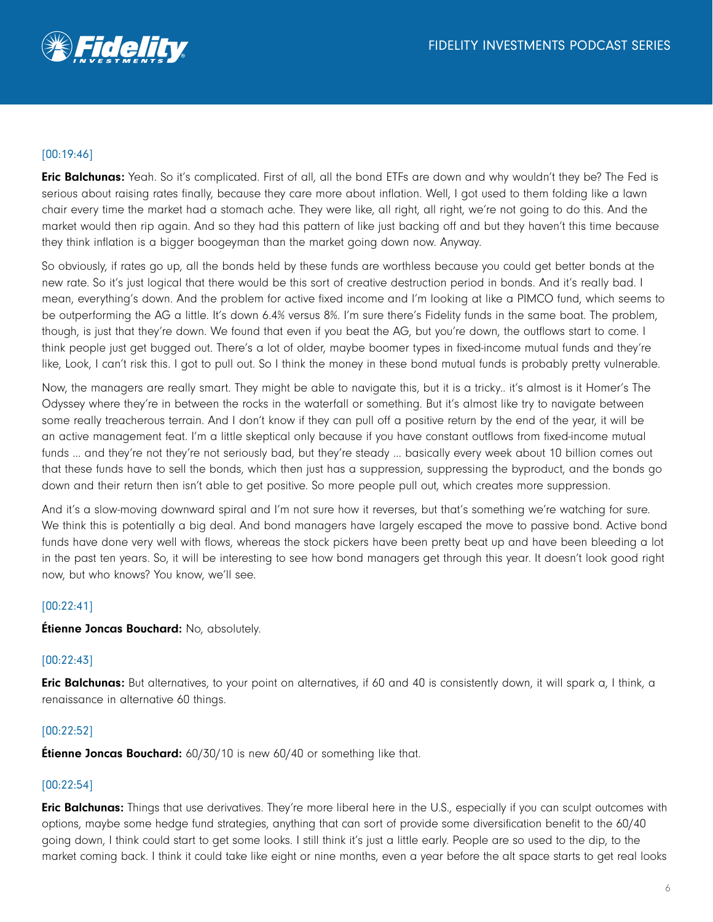

## [00:19:46]

Eric Balchunas: Yeah. So it's complicated. First of all, all the bond ETFs are down and why wouldn't they be? The Fed is serious about raising rates finally, because they care more about inflation. Well, I got used to them folding like a lawn chair every time the market had a stomach ache. They were like, all right, all right, we're not going to do this. And the market would then rip again. And so they had this pattern of like just backing off and but they haven't this time because they think inflation is a bigger boogeyman than the market going down now. Anyway.

So obviously, if rates go up, all the bonds held by these funds are worthless because you could get better bonds at the new rate. So it's just logical that there would be this sort of creative destruction period in bonds. And it's really bad. I mean, everything's down. And the problem for active fixed income and I'm looking at like a PIMCO fund, which seems to be outperforming the AG a little. It's down 6.4% versus 8%. I'm sure there's Fidelity funds in the same boat. The problem, though, is just that they're down. We found that even if you beat the AG, but you're down, the outflows start to come. I think people just get bugged out. There's a lot of older, maybe boomer types in fixed-income mutual funds and they're like, Look, I can't risk this. I got to pull out. So I think the money in these bond mutual funds is probably pretty vulnerable.

Now, the managers are really smart. They might be able to navigate this, but it is a tricky.. it's almost is it Homer's The Odyssey where they're in between the rocks in the waterfall or something. But it's almost like try to navigate between some really treacherous terrain. And I don't know if they can pull off a positive return by the end of the year, it will be an active management feat. I'm a little skeptical only because if you have constant outflows from fixed-income mutual funds ... and they're not they're not seriously bad, but they're steady ... basically every week about 10 billion comes out that these funds have to sell the bonds, which then just has a suppression, suppressing the byproduct, and the bonds go down and their return then isn't able to get positive. So more people pull out, which creates more suppression.

And it's a slow-moving downward spiral and I'm not sure how it reverses, but that's something we're watching for sure. We think this is potentially a big deal. And bond managers have largely escaped the move to passive bond. Active bond funds have done very well with flows, whereas the stock pickers have been pretty beat up and have been bleeding a lot in the past ten years. So, it will be interesting to see how bond managers get through this year. It doesn't look good right now, but who knows? You know, we'll see.

## [00:22:41]

**Étienne Joncas Bouchard:** No, absolutely.

## [00:22:43]

**Eric Balchunas:** But alternatives, to your point on alternatives, if 60 and 40 is consistently down, it will spark a, I think, a renaissance in alternative 60 things.

## [00:22:52]

**Étienne Joncas Bouchard:** 60/30/10 is new 60/40 or something like that.

## [00:22:54]

**Eric Balchunas:** Things that use derivatives. They're more liberal here in the U.S., especially if you can sculpt outcomes with options, maybe some hedge fund strategies, anything that can sort of provide some diversification benefit to the 60/40 going down, I think could start to get some looks. I still think it's just a little early. People are so used to the dip, to the market coming back. I think it could take like eight or nine months, even a year before the alt space starts to get real looks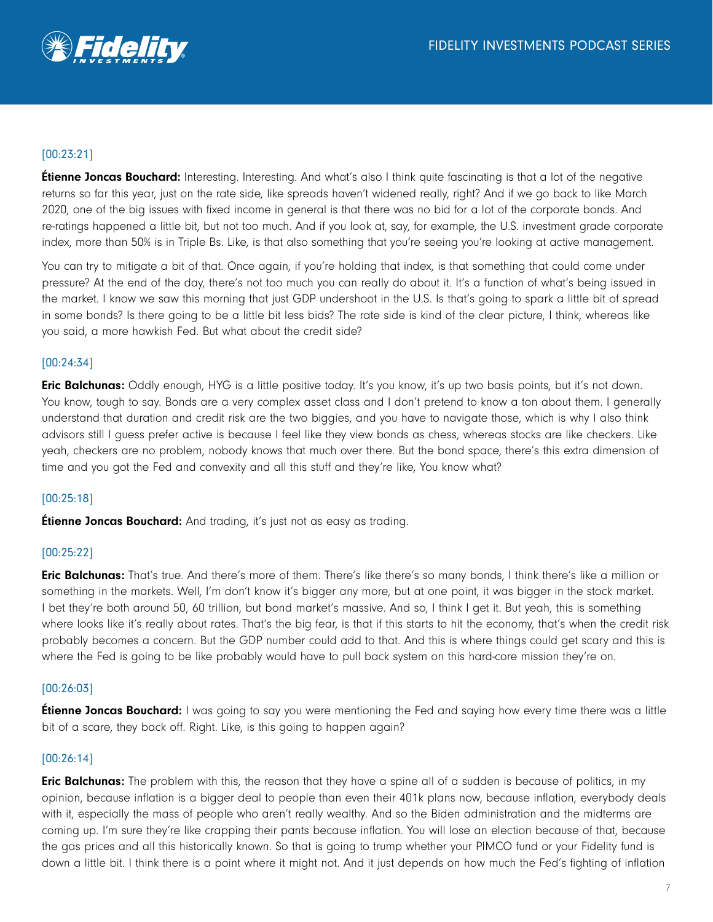

# [00:23:21]

**Étienne Joncas Bouchard:** Interesting. Interesting. And what's also I think quite fascinating is that a lot of the negative returns so far this year, just on the rate side, like spreads haven't widened really, right? And if we go back to like March 2020, one of the big issues with fixed income in general is that there was no bid for a lot of the corporate bonds. And re-ratings happened a little bit, but not too much. And if you look at, say, for example, the U.S. investment grade corporate index, more than 50% is in Triple Bs. Like, is that also something that you're seeing you're looking at active management.

You can try to mitigate a bit of that. Once again, if you're holding that index, is that something that could come under pressure? At the end of the day, there's not too much you can really do about it. It's a function of what's being issued in the market. I know we saw this morning that just GDP undershoot in the U.S. Is that's going to spark a little bit of spread in some bonds? Is there going to be a little bit less bids? The rate side is kind of the clear picture, I think, whereas like you said, a more hawkish Fed. But what about the credit side?

## [00:24:34]

**Eric Balchunas:** Oddly enough, HYG is a little positive today. It's you know, it's up two basis points, but it's not down. You know, tough to say. Bonds are a very complex asset class and I don't pretend to know a ton about them. I generally understand that duration and credit risk are the two biggies, and you have to navigate those, which is why I also think advisors still I guess prefer active is because I feel like they view bonds as chess, whereas stocks are like checkers. Like yeah, checkers are no problem, nobody knows that much over there. But the bond space, there's this extra dimension of time and you got the Fed and convexity and all this stuff and they're like, You know what?

## [00:25:18]

**Étienne Joncas Bouchard:** And trading, it's just not as easy as trading.

## [00:25:22]

Eric Balchunas: That's true. And there's more of them. There's like there's so many bonds, I think there's like a million or something in the markets. Well, I'm don't know it's bigger any more, but at one point, it was bigger in the stock market. I bet they're both around 50, 60 trillion, but bond market's massive. And so, I think I get it. But yeah, this is something where looks like it's really about rates. That's the big fear, is that if this starts to hit the economy, that's when the credit risk probably becomes a concern. But the GDP number could add to that. And this is where things could get scary and this is where the Fed is going to be like probably would have to pull back system on this hard-core mission they're on.

## [00:26:03]

**Étienne Joncas Bouchard:** I was going to say you were mentioning the Fed and saying how every time there was a little bit of a scare, they back off. Right. Like, is this going to happen again?

## [00:26:14]

Eric Balchunas: The problem with this, the reason that they have a spine all of a sudden is because of politics, in my opinion, because inflation is a bigger deal to people than even their 401k plans now, because inflation, everybody deals with it, especially the mass of people who aren't really wealthy. And so the Biden administration and the midterms are coming up. I'm sure they're like crapping their pants because inflation. You will lose an election because of that, because the gas prices and all this historically known. So that is going to trump whether your PIMCO fund or your Fidelity fund is down a little bit. I think there is a point where it might not. And it just depends on how much the Fed's fighting of inflation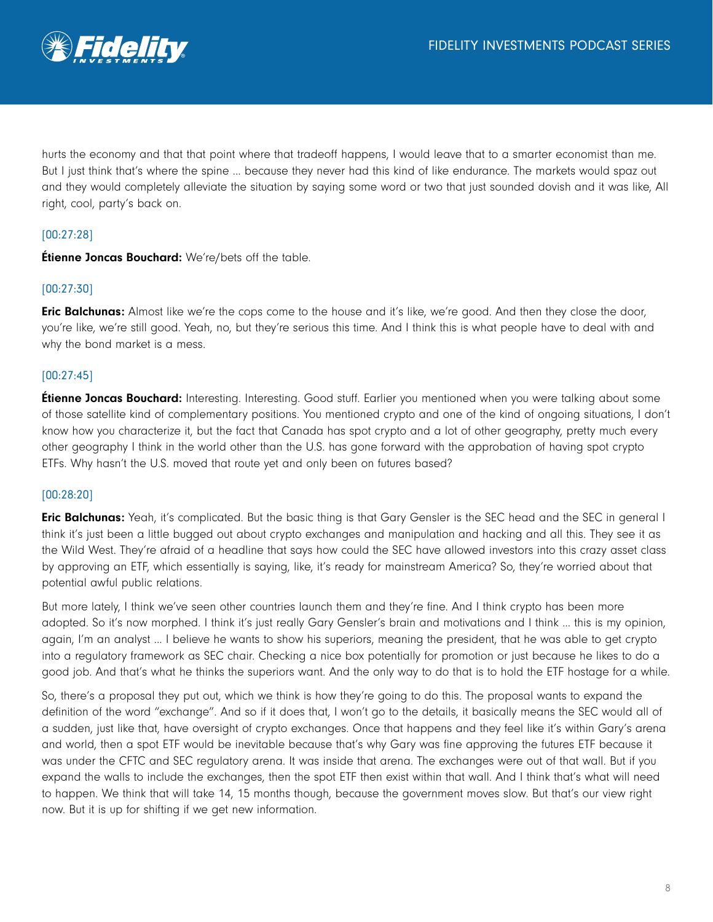

hurts the economy and that that point where that tradeoff happens, I would leave that to a smarter economist than me. But I just think that's where the spine ... because they never had this kind of like endurance. The markets would spaz out and they would completely alleviate the situation by saying some word or two that just sounded dovish and it was like, All right, cool, party's back on.

## [00:27:28]

**Étienne Joncas Bouchard:** We're/bets off the table.

## [00:27:30]

**Eric Balchunas:** Almost like we're the cops come to the house and it's like, we're good. And then they close the door, you're like, we're still good. Yeah, no, but they're serious this time. And I think this is what people have to deal with and why the bond market is a mess.

## [00:27:45]

**Étienne Joncas Bouchard:** Interesting. Interesting. Good stuff. Earlier you mentioned when you were talking about some of those satellite kind of complementary positions. You mentioned crypto and one of the kind of ongoing situations, I don't know how you characterize it, but the fact that Canada has spot crypto and a lot of other geography, pretty much every other geography I think in the world other than the U.S. has gone forward with the approbation of having spot crypto ETFs. Why hasn't the U.S. moved that route yet and only been on futures based?

## [00:28:20]

Eric Balchunas: Yeah, it's complicated. But the basic thing is that Gary Gensler is the SEC head and the SEC in general I think it's just been a little bugged out about crypto exchanges and manipulation and hacking and all this. They see it as the Wild West. They're afraid of a headline that says how could the SEC have allowed investors into this crazy asset class by approving an ETF, which essentially is saying, like, it's ready for mainstream America? So, they're worried about that potential awful public relations.

But more lately, I think we've seen other countries launch them and they're fine. And I think crypto has been more adopted. So it's now morphed. I think it's just really Gary Gensler's brain and motivations and I think ... this is my opinion, again, I'm an analyst ... I believe he wants to show his superiors, meaning the president, that he was able to get crypto into a regulatory framework as SEC chair. Checking a nice box potentially for promotion or just because he likes to do a good job. And that's what he thinks the superiors want. And the only way to do that is to hold the ETF hostage for a while.

So, there's a proposal they put out, which we think is how they're going to do this. The proposal wants to expand the definition of the word "exchange". And so if it does that, I won't go to the details, it basically means the SEC would all of a sudden, just like that, have oversight of crypto exchanges. Once that happens and they feel like it's within Gary's arena and world, then a spot ETF would be inevitable because that's why Gary was fine approving the futures ETF because it was under the CFTC and SEC regulatory arena. It was inside that arena. The exchanges were out of that wall. But if you expand the walls to include the exchanges, then the spot ETF then exist within that wall. And I think that's what will need to happen. We think that will take 14, 15 months though, because the government moves slow. But that's our view right now. But it is up for shifting if we get new information.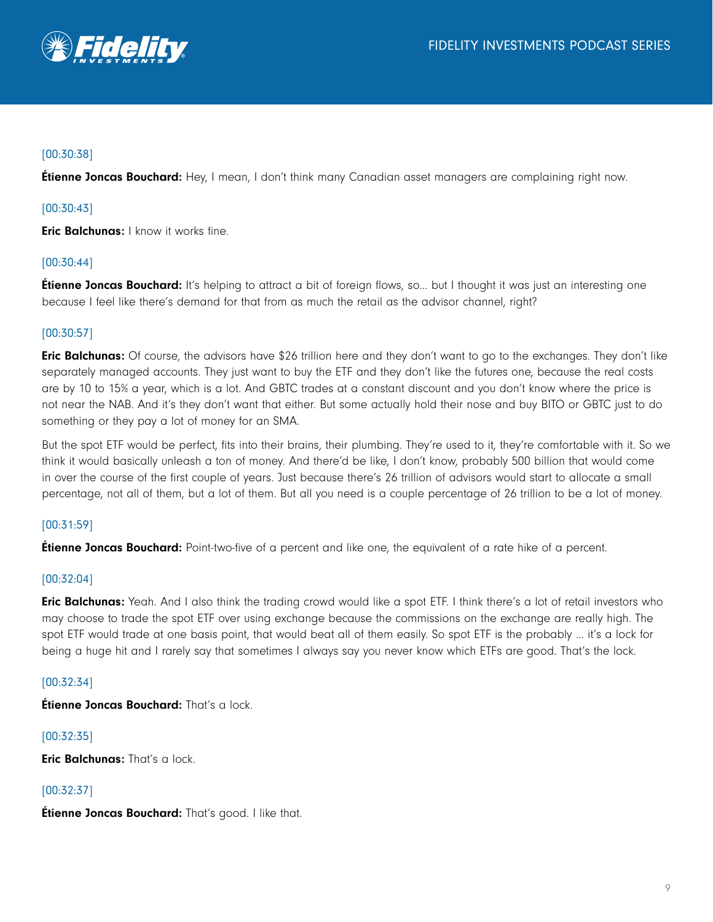

# [00:30:38]

**Étienne Joncas Bouchard:** Hey, I mean, I don't think many Canadian asset managers are complaining right now.

## [00:30:43]

**Eric Balchunas:** I know it works fine.

## [00:30:44]

**Étienne Joncas Bouchard:** It's helping to attract a bit of foreign flows, so... but I thought it was just an interesting one because I feel like there's demand for that from as much the retail as the advisor channel, right?

## [00:30:57]

**Eric Balchunas:** Of course, the advisors have \$26 trillion here and they don't want to go to the exchanges. They don't like separately managed accounts. They just want to buy the ETF and they don't like the futures one, because the real costs are by 10 to 15% a year, which is a lot. And GBTC trades at a constant discount and you don't know where the price is not near the NAB. And it's they don't want that either. But some actually hold their nose and buy BITO or GBTC just to do something or they pay a lot of money for an SMA.

But the spot ETF would be perfect, fits into their brains, their plumbing. They're used to it, they're comfortable with it. So we think it would basically unleash a ton of money. And there'd be like, I don't know, probably 500 billion that would come in over the course of the first couple of years. Just because there's 26 trillion of advisors would start to allocate a small percentage, not all of them, but a lot of them. But all you need is a couple percentage of 26 trillion to be a lot of money.

## [00:31:59]

**Étienne Joncas Bouchard:** Point-two-five of a percent and like one, the equivalent of a rate hike of a percent.

## [00:32:04]

Eric Balchunas: Yeah. And I also think the trading crowd would like a spot ETF. I think there's a lot of retail investors who may choose to trade the spot ETF over using exchange because the commissions on the exchange are really high. The spot ETF would trade at one basis point, that would beat all of them easily. So spot ETF is the probably … it's a lock for being a huge hit and I rarely say that sometimes I always say you never know which ETFs are good. That's the lock.

## [00:32:34]

Étienne Joncas Bouchard: That's a lock.

## [00:32:35]

Eric Balchunas: That's a lock.

## [00:32:37]

**Étienne Joncas Bouchard:** That's good. I like that.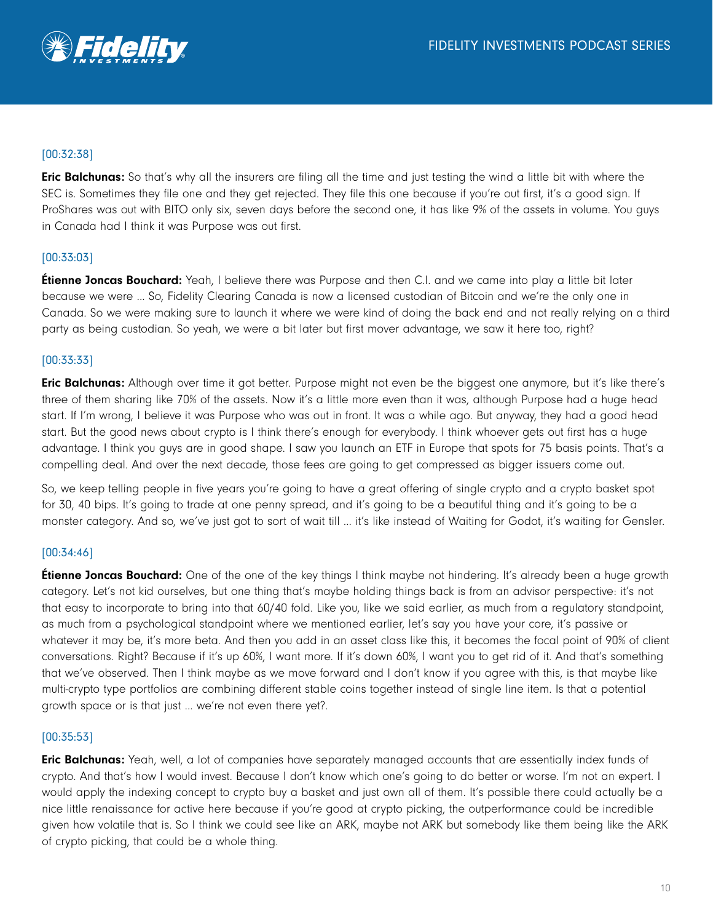

## [00:32:38]

**Eric Balchunas:** So that's why all the insurers are filing all the time and just testing the wind a little bit with where the SEC is. Sometimes they file one and they get rejected. They file this one because if you're out first, it's a good sign. If ProShares was out with BITO only six, seven days before the second one, it has like 9% of the assets in volume. You guys in Canada had I think it was Purpose was out first.

## [00:33:03]

**Étienne Joncas Bouchard:** Yeah, I believe there was Purpose and then C.I. and we came into play a little bit later because we were ... So, Fidelity Clearing Canada is now a licensed custodian of Bitcoin and we're the only one in Canada. So we were making sure to launch it where we were kind of doing the back end and not really relying on a third party as being custodian. So yeah, we were a bit later but first mover advantage, we saw it here too, right?

## [00:33:33]

Eric Balchunas: Although over time it got better. Purpose might not even be the biggest one anymore, but it's like there's three of them sharing like 70% of the assets. Now it's a little more even than it was, although Purpose had a huge head start. If I'm wrong, I believe it was Purpose who was out in front. It was a while ago. But anyway, they had a good head start. But the good news about crypto is I think there's enough for everybody. I think whoever gets out first has a huge advantage. I think you guys are in good shape. I saw you launch an ETF in Europe that spots for 75 basis points. That's a compelling deal. And over the next decade, those fees are going to get compressed as bigger issuers come out.

So, we keep telling people in five years you're going to have a great offering of single crypto and a crypto basket spot for 30, 40 bips. It's going to trade at one penny spread, and it's going to be a beautiful thing and it's going to be a monster category. And so, we've just got to sort of wait till … it's like instead of Waiting for Godot, it's waiting for Gensler.

## [00:34:46]

**Étienne Joncas Bouchard:** One of the one of the key things I think maybe not hindering. It's already been a huge growth category. Let's not kid ourselves, but one thing that's maybe holding things back is from an advisor perspective: it's not that easy to incorporate to bring into that 60/40 fold. Like you, like we said earlier, as much from a regulatory standpoint, as much from a psychological standpoint where we mentioned earlier, let's say you have your core, it's passive or whatever it may be, it's more beta. And then you add in an asset class like this, it becomes the focal point of 90% of client conversations. Right? Because if it's up 60%, I want more. If it's down 60%, I want you to get rid of it. And that's something that we've observed. Then I think maybe as we move forward and I don't know if you agree with this, is that maybe like multi-crypto type portfolios are combining different stable coins together instead of single line item. Is that a potential growth space or is that just ... we're not even there yet?.

## [00:35:53]

**Eric Balchunas:** Yeah, well, a lot of companies have separately managed accounts that are essentially index funds of crypto. And that's how I would invest. Because I don't know which one's going to do better or worse. I'm not an expert. I would apply the indexing concept to crypto buy a basket and just own all of them. It's possible there could actually be a nice little renaissance for active here because if you're good at crypto picking, the outperformance could be incredible given how volatile that is. So I think we could see like an ARK, maybe not ARK but somebody like them being like the ARK of crypto picking, that could be a whole thing.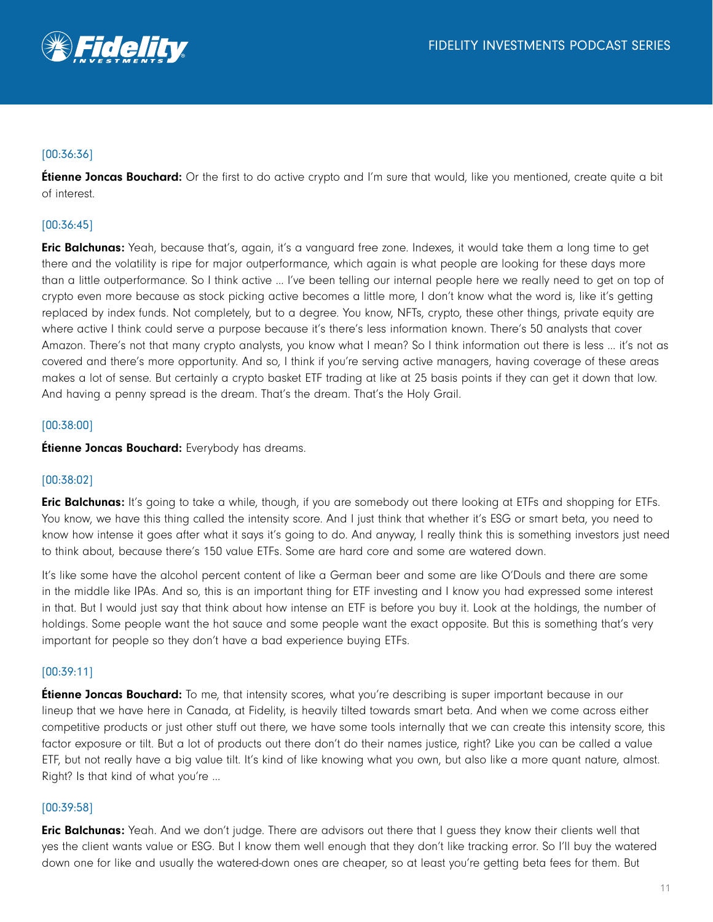

## [00:36:36]

**Étienne Joncas Bouchard:** Or the first to do active crypto and I'm sure that would, like you mentioned, create quite a bit of interest.

## [00:36:45]

**Eric Balchunas:** Yeah, because that's, again, it's a vanguard free zone. Indexes, it would take them a long time to get there and the volatility is ripe for major outperformance, which again is what people are looking for these days more than a little outperformance. So I think active … I've been telling our internal people here we really need to get on top of crypto even more because as stock picking active becomes a little more, I don't know what the word is, like it's getting replaced by index funds. Not completely, but to a degree. You know, NFTs, crypto, these other things, private equity are where active I think could serve a purpose because it's there's less information known. There's 50 analysts that cover Amazon. There's not that many crypto analysts, you know what I mean? So I think information out there is less … it's not as covered and there's more opportunity. And so, I think if you're serving active managers, having coverage of these areas makes a lot of sense. But certainly a crypto basket ETF trading at like at 25 basis points if they can get it down that low. And having a penny spread is the dream. That's the dream. That's the Holy Grail.

## [00:38:00]

**Étienne Joncas Bouchard:** Everybody has dreams.

## [00:38:02]

**Eric Balchunas:** It's going to take a while, though, if you are somebody out there looking at ETFs and shopping for ETFs. You know, we have this thing called the intensity score. And I just think that whether it's ESG or smart beta, you need to know how intense it goes after what it says it's going to do. And anyway, I really think this is something investors just need to think about, because there's 150 value ETFs. Some are hard core and some are watered down.

It's like some have the alcohol percent content of like a German beer and some are like O'Douls and there are some in the middle like IPAs. And so, this is an important thing for ETF investing and I know you had expressed some interest in that. But I would just say that think about how intense an ETF is before you buy it. Look at the holdings, the number of holdings. Some people want the hot sauce and some people want the exact opposite. But this is something that's very important for people so they don't have a bad experience buying ETFs.

## [00:39:11]

**Étienne Joncas Bouchard:** To me, that intensity scores, what you're describing is super important because in our lineup that we have here in Canada, at Fidelity, is heavily tilted towards smart beta. And when we come across either competitive products or just other stuff out there, we have some tools internally that we can create this intensity score, this factor exposure or tilt. But a lot of products out there don't do their names justice, right? Like you can be called a value ETF, but not really have a big value tilt. It's kind of like knowing what you own, but also like a more quant nature, almost. Right? Is that kind of what you're …

## [00:39:58]

**Eric Balchunas:** Yeah. And we don't judge. There are advisors out there that I guess they know their clients well that yes the client wants value or ESG. But I know them well enough that they don't like tracking error. So I'll buy the watered down one for like and usually the watered-down ones are cheaper, so at least you're getting beta fees for them. But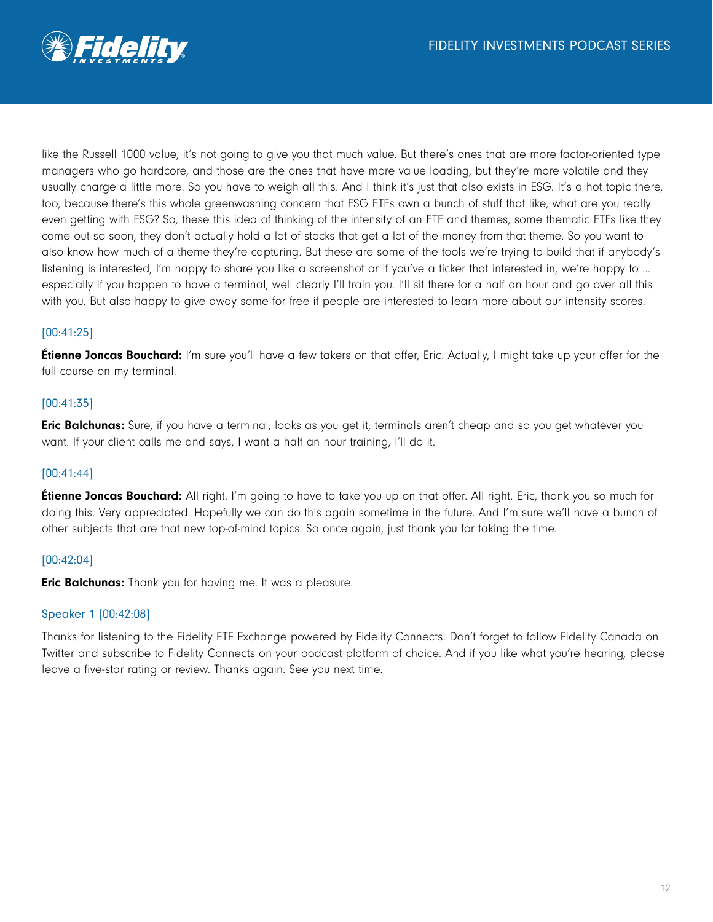

like the Russell 1000 value, it's not going to give you that much value. But there's ones that are more factor-oriented type managers who go hardcore, and those are the ones that have more value loading, but they're more volatile and they usually charge a little more. So you have to weigh all this. And I think it's just that also exists in ESG. It's a hot topic there, too, because there's this whole greenwashing concern that ESG ETFs own a bunch of stuff that like, what are you really even getting with ESG? So, these this idea of thinking of the intensity of an ETF and themes, some thematic ETFs like they come out so soon, they don't actually hold a lot of stocks that get a lot of the money from that theme. So you want to also know how much of a theme they're capturing. But these are some of the tools we're trying to build that if anybody's listening is interested, I'm happy to share you like a screenshot or if you've a ticker that interested in, we're happy to … especially if you happen to have a terminal, well clearly I'll train you. I'll sit there for a half an hour and go over all this with you. But also happy to give away some for free if people are interested to learn more about our intensity scores.

## [00:41:25]

**Étienne Joncas Bouchard:** I'm sure you'll have a few takers on that offer, Eric. Actually, I might take up your offer for the full course on my terminal.

## [00:41:35]

**Eric Balchunas:** Sure, if you have a terminal, looks as you get it, terminals aren't cheap and so you get whatever you want. If your client calls me and says, I want a half an hour training, I'll do it.

#### [00:41:44]

**Etienne Joncas Bouchard:** All right. I'm going to have to take you up on that offer. All right. Eric, thank you so much for doing this. Very appreciated. Hopefully we can do this again sometime in the future. And I'm sure we'll have a bunch of other subjects that are that new top-of-mind topics. So once again, just thank you for taking the time.

#### [00:42:04]

**Eric Balchunas:** Thank you for having me. It was a pleasure.

#### Speaker 1 [00:42:08]

Thanks for listening to the Fidelity ETF Exchange powered by Fidelity Connects. Don't forget to follow Fidelity Canada on Twitter and subscribe to Fidelity Connects on your podcast platform of choice. And if you like what you're hearing, please leave a five-star rating or review. Thanks again. See you next time.